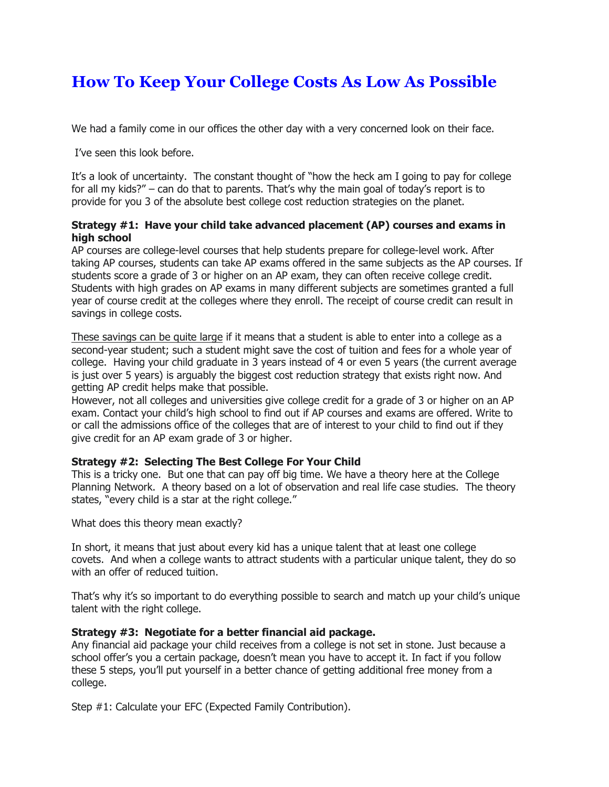## **How To Keep Your College Costs As Low As Possible**

We had a family come in our offices the other day with a very concerned look on their face.

I've seen this look before.

It's a look of uncertainty. The constant thought of "how the heck am I going to pay for college for all my kids?" – can do that to parents. That's why the main goal of today's report is to provide for you 3 of the absolute best college cost reduction strategies on the planet.

## **Strategy #1: Have your child take advanced placement (AP) courses and exams in high school**

AP courses are college-level courses that help students prepare for college-level work. After taking AP courses, students can take AP exams offered in the same subjects as the AP courses. If students score a grade of 3 or higher on an AP exam, they can often receive college credit. Students with high grades on AP exams in many different subjects are sometimes granted a full year of course credit at the colleges where they enroll. The receipt of course credit can result in savings in college costs.

These savings can be quite large if it means that a student is able to enter into a college as a second-year student; such a student might save the cost of tuition and fees for a whole year of college. Having your child graduate in 3 years instead of 4 or even 5 years (the current average is just over 5 years) is arguably the biggest cost reduction strategy that exists right now. And getting AP credit helps make that possible.

However, not all colleges and universities give college credit for a grade of 3 or higher on an AP exam. Contact your child's high school to find out if AP courses and exams are offered. Write to or call the admissions office of the colleges that are of interest to your child to find out if they give credit for an AP exam grade of 3 or higher.

## **Strategy #2: Selecting The Best College For Your Child**

This is a tricky one. But one that can pay off big time. We have a theory here at the College Planning Network. A theory based on a lot of observation and real life case studies. The theory states, "every child is a star at the right college."

What does this theory mean exactly?

In short, it means that just about every kid has a unique talent that at least one college covets. And when a college wants to attract students with a particular unique talent, they do so with an offer of reduced tuition.

That's why it's so important to do everything possible to search and match up your child's unique talent with the right college.

## **Strategy #3: Negotiate for a better financial aid package.**

Any financial aid package your child receives from a college is not set in stone. Just because a school offer's you a certain package, doesn't mean you have to accept it. In fact if you follow these 5 steps, you'll put yourself in a better chance of getting additional free money from a college.

Step #1: Calculate your EFC (Expected Family Contribution).